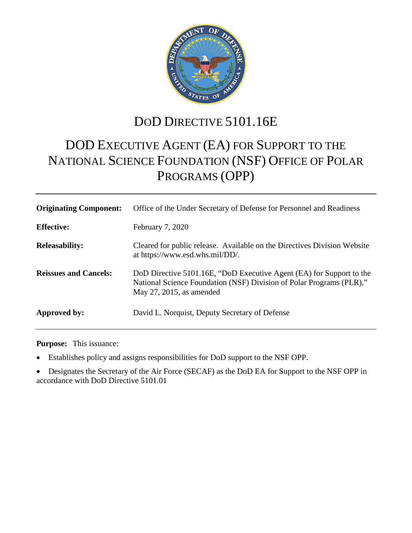

# DOD DIRECTIVE 5101.16E

# DOD EXECUTIVE AGENT (EA) FOR SUPPORT TO THE NATIONAL SCIENCE FOUNDATION (NSF) OFFICE OF POLAR PROGRAMS (OPP)

| <b>Originating Component:</b> | Office of the Under Secretary of Defense for Personnel and Readiness                                                                                                           |
|-------------------------------|--------------------------------------------------------------------------------------------------------------------------------------------------------------------------------|
| <b>Effective:</b>             | February 7, 2020                                                                                                                                                               |
| <b>Releasability:</b>         | Cleared for public release. Available on the Directives Division Website<br>at https://www.esd.whs.mil/DD/.                                                                    |
| <b>Reissues and Cancels:</b>  | DoD Directive 5101.16E, "DoD Executive Agent (EA) for Support to the<br>National Science Foundation (NSF) Division of Polar Programs (PLR),"<br>May $27$ , $2015$ , as amended |
| Approved by:                  | David L. Norquist, Deputy Secretary of Defense                                                                                                                                 |

**Purpose:** This issuance:

• Establishes policy and assigns responsibilities for DoD support to the NSF OPP.

• Designates the Secretary of the Air Force (SECAF) as the DoD EA for Support to the NSF OPP in accordance with DoD Directive 5101.01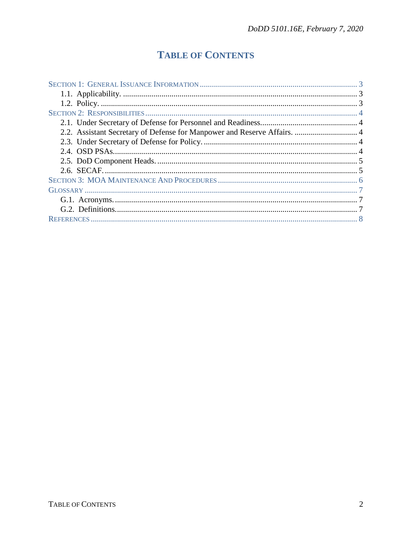## **TABLE OF CONTENTS**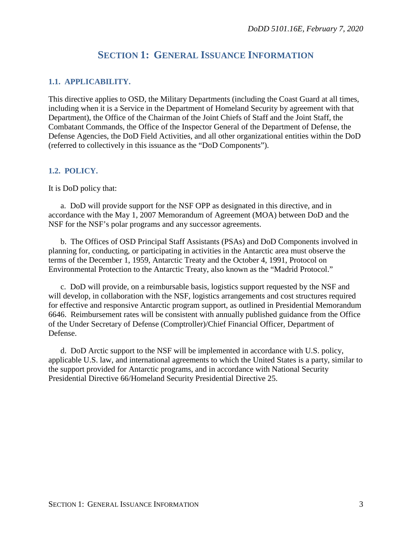## **SECTION 1: GENERAL ISSUANCE INFORMATION**

#### **1.1. APPLICABILITY.**

This directive applies to OSD, the Military Departments (including the Coast Guard at all times, including when it is a Service in the Department of Homeland Security by agreement with that Department), the Office of the Chairman of the Joint Chiefs of Staff and the Joint Staff, the Combatant Commands, the Office of the Inspector General of the Department of Defense, the Defense Agencies, the DoD Field Activities, and all other organizational entities within the DoD (referred to collectively in this issuance as the "DoD Components").

#### **1.2. POLICY.**

It is DoD policy that:

a. DoD will provide support for the NSF OPP as designated in this directive, and in accordance with the May 1, 2007 Memorandum of Agreement (MOA) between DoD and the NSF for the NSF's polar programs and any successor agreements.

b. The Offices of OSD Principal Staff Assistants (PSAs) and DoD Components involved in planning for, conducting, or participating in activities in the Antarctic area must observe the terms of the December 1, 1959, Antarctic Treaty and the October 4, 1991, Protocol on Environmental Protection to the Antarctic Treaty, also known as the "Madrid Protocol."

c. DoD will provide, on a reimbursable basis, logistics support requested by the NSF and will develop, in collaboration with the NSF, logistics arrangements and cost structures required for effective and responsive Antarctic program support, as outlined in Presidential Memorandum 6646. Reimbursement rates will be consistent with annually published guidance from the Office of the Under Secretary of Defense (Comptroller)/Chief Financial Officer, Department of Defense.

d. DoD Arctic support to the NSF will be implemented in accordance with U.S. policy, applicable U.S. law, and international agreements to which the United States is a party, similar to the support provided for Antarctic programs, and in accordance with National Security Presidential Directive 66/Homeland Security Presidential Directive 25.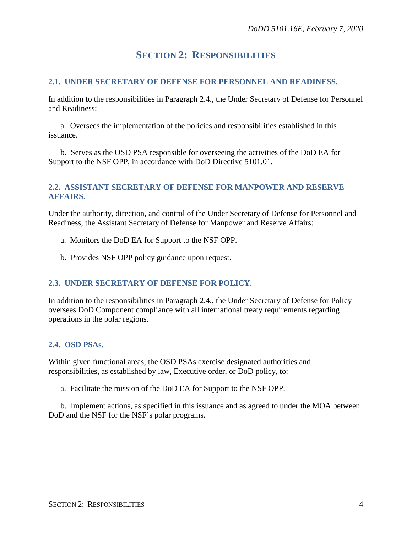## **SECTION 2: RESPONSIBILITIES**

#### **2.1. UNDER SECRETARY OF DEFENSE FOR PERSONNEL AND READINESS.**

In addition to the responsibilities in Paragraph 2.4., the Under Secretary of Defense for Personnel and Readiness:

a. Oversees the implementation of the policies and responsibilities established in this issuance.

b. Serves as the OSD PSA responsible for overseeing the activities of the DoD EA for Support to the NSF OPP, in accordance with DoD Directive 5101.01.

#### **2.2. ASSISTANT SECRETARY OF DEFENSE FOR MANPOWER AND RESERVE AFFAIRS.**

Under the authority, direction, and control of the Under Secretary of Defense for Personnel and Readiness, the Assistant Secretary of Defense for Manpower and Reserve Affairs:

- a. Monitors the DoD EA for Support to the NSF OPP.
- b. Provides NSF OPP policy guidance upon request.

#### **2.3. UNDER SECRETARY OF DEFENSE FOR POLICY.**

In addition to the responsibilities in Paragraph 2.4., the Under Secretary of Defense for Policy oversees DoD Component compliance with all international treaty requirements regarding operations in the polar regions.

#### **2.4. OSD PSAs.**

Within given functional areas, the OSD PSAs exercise designated authorities and responsibilities, as established by law, Executive order, or DoD policy, to:

a. Facilitate the mission of the DoD EA for Support to the NSF OPP.

b. Implement actions, as specified in this issuance and as agreed to under the MOA between DoD and the NSF for the NSF's polar programs.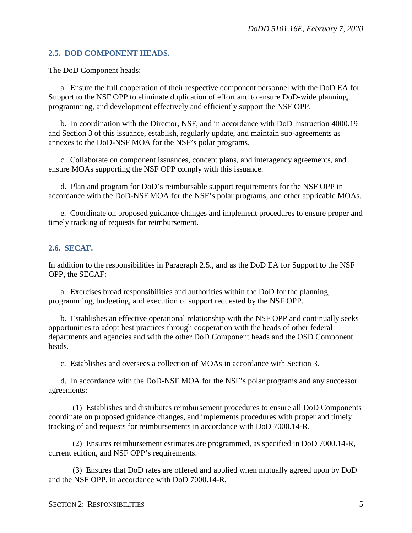#### **2.5. DOD COMPONENT HEADS.**

The DoD Component heads:

a. Ensure the full cooperation of their respective component personnel with the DoD EA for Support to the NSF OPP to eliminate duplication of effort and to ensure DoD-wide planning, programming, and development effectively and efficiently support the NSF OPP.

b. In coordination with the Director, NSF, and in accordance with DoD Instruction 4000.19 and Section 3 of this issuance, establish, regularly update, and maintain sub-agreements as annexes to the DoD-NSF MOA for the NSF's polar programs.

c. Collaborate on component issuances, concept plans, and interagency agreements, and ensure MOAs supporting the NSF OPP comply with this issuance.

d. Plan and program for DoD's reimbursable support requirements for the NSF OPP in accordance with the DoD-NSF MOA for the NSF's polar programs, and other applicable MOAs.

e. Coordinate on proposed guidance changes and implement procedures to ensure proper and timely tracking of requests for reimbursement.

#### **2.6. SECAF.**

In addition to the responsibilities in Paragraph 2.5., and as the DoD EA for Support to the NSF OPP, the SECAF:

a. Exercises broad responsibilities and authorities within the DoD for the planning, programming, budgeting, and execution of support requested by the NSF OPP.

b. Establishes an effective operational relationship with the NSF OPP and continually seeks opportunities to adopt best practices through cooperation with the heads of other federal departments and agencies and with the other DoD Component heads and the OSD Component heads.

c. Establishes and oversees a collection of MOAs in accordance with Section 3.

d. In accordance with the DoD-NSF MOA for the NSF's polar programs and any successor agreements:

(1) Establishes and distributes reimbursement procedures to ensure all DoD Components coordinate on proposed guidance changes, and implements procedures with proper and timely tracking of and requests for reimbursements in accordance with DoD 7000.14-R.

(2) Ensures reimbursement estimates are programmed, as specified in DoD 7000.14-R, current edition, and NSF OPP's requirements.

(3) Ensures that DoD rates are offered and applied when mutually agreed upon by DoD and the NSF OPP, in accordance with DoD 7000.14-R.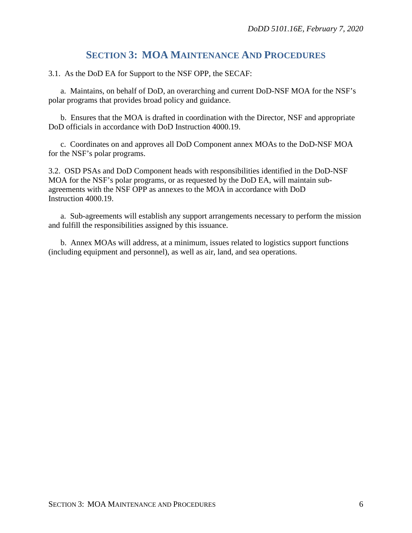## **SECTION 3: MOA MAINTENANCE AND PROCEDURES**

3.1. As the DoD EA for Support to the NSF OPP, the SECAF:

a. Maintains, on behalf of DoD, an overarching and current DoD-NSF MOA for the NSF's polar programs that provides broad policy and guidance.

b. Ensures that the MOA is drafted in coordination with the Director, NSF and appropriate DoD officials in accordance with DoD Instruction 4000.19.

c. Coordinates on and approves all DoD Component annex MOAs to the DoD-NSF MOA for the NSF's polar programs.

3.2. OSD PSAs and DoD Component heads with responsibilities identified in the DoD-NSF MOA for the NSF's polar programs, or as requested by the DoD EA, will maintain subagreements with the NSF OPP as annexes to the MOA in accordance with DoD Instruction 4000.19.

a. Sub-agreements will establish any support arrangements necessary to perform the mission and fulfill the responsibilities assigned by this issuance.

b. Annex MOAs will address, at a minimum, issues related to logistics support functions (including equipment and personnel), as well as air, land, and sea operations.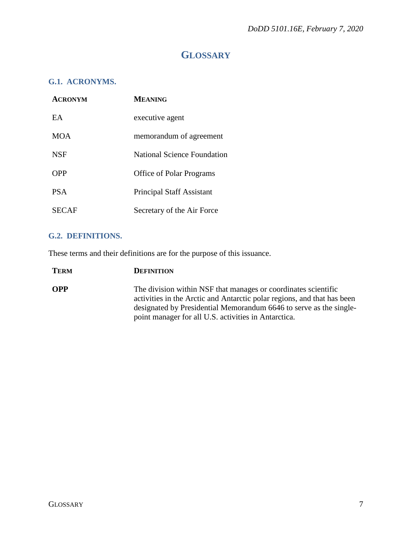## **GLOSSARY**

### **G.1. ACRONYMS.**

| <b>ACRONYM</b> | <b>MEANING</b>                     |
|----------------|------------------------------------|
| EA             | executive agent                    |
| <b>MOA</b>     | memorandum of agreement            |
| <b>NSF</b>     | <b>National Science Foundation</b> |
| <b>OPP</b>     | <b>Office of Polar Programs</b>    |
| <b>PSA</b>     | <b>Principal Staff Assistant</b>   |
| SECAF          | Secretary of the Air Force         |

#### **G.2. DEFINITIONS.**

These terms and their definitions are for the purpose of this issuance.

| <b>TERM</b> | <b>DEFINITION</b>                                                                                                                         |
|-------------|-------------------------------------------------------------------------------------------------------------------------------------------|
| <b>OPP</b>  | The division within NSF that manages or coordinates scientific<br>activities in the Arctic and Antarctic polar regions, and that has been |
|             | designated by Presidential Memorandum 6646 to serve as the single-                                                                        |
|             | point manager for all U.S. activities in Antarctica.                                                                                      |